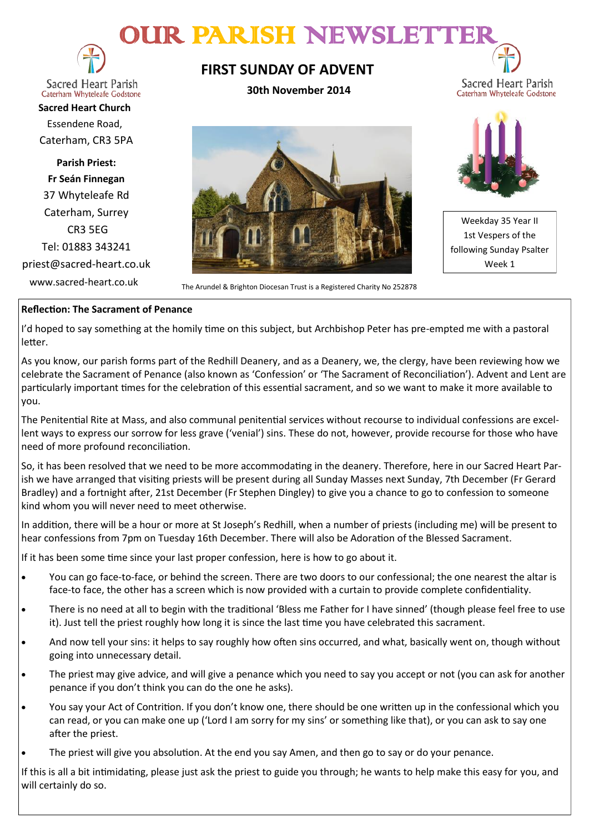# DUIR PARISH NEWSLETT



**Sacred Heart Parish** Caterham Whyteleafe Godstone

**Sacred Heart Church** Essendene Road, Caterham, CR3 5PA

**Parish Priest: Fr Seán Finnegan** 37 Whyteleafe Rd Caterham, Surrey CR3 5EG Tel: 01883 343241 priest@sacred-heart.co.uk

# **FIRST SUNDAY OF ADVENT**

**30th November 2014**



www.sacred-heart.co.uk<br>The Arundel & Brighton Diocesan Trust is a Registered Charity No 252878



Sacred Heart Parish Caterham Whyteleafe Godstone

Weekday 35 Year II 1st Vespers of the following Sunday Psalter Week 1

### **Reflection: The Sacrament of Penance**

I'd hoped to say something at the homily time on this subject, but Archbishop Peter has pre-empted me with a pastoral letter.

As you know, our parish forms part of the Redhill Deanery, and as a Deanery, we, the clergy, have been reviewing how we celebrate the Sacrament of Penance (also known as 'Confession' or 'The Sacrament of Reconciliation'). Advent and Lent are particularly important times for the celebration of this essential sacrament, and so we want to make it more available to you.

The Penitential Rite at Mass, and also communal penitential services without recourse to individual confessions are excellent ways to express our sorrow for less grave ('venial') sins. These do not, however, provide recourse for those who have need of more profound reconciliation.

So, it has been resolved that we need to be more accommodating in the deanery. Therefore, here in our Sacred Heart Parish we have arranged that visiting priests will be present during all Sunday Masses next Sunday, 7th December (Fr Gerard Bradley) and a fortnight after, 21st December (Fr Stephen Dingley) to give you a chance to go to confession to someone kind whom you will never need to meet otherwise.

In addition, there will be a hour or more at St Joseph's Redhill, when a number of priests (including me) will be present to hear confessions from 7pm on Tuesday 16th December. There will also be Adoration of the Blessed Sacrament.

If it has been some time since your last proper confession, here is how to go about it.

- You can go face-to-face, or behind the screen. There are two doors to our confessional; the one nearest the altar is face-to face, the other has a screen which is now provided with a curtain to provide complete confidentiality.
- There is no need at all to begin with the traditional 'Bless me Father for I have sinned' (though please feel free to use it). Just tell the priest roughly how long it is since the last time you have celebrated this sacrament.
- And now tell your sins: it helps to say roughly how often sins occurred, and what, basically went on, though without going into unnecessary detail.
- The priest may give advice, and will give a penance which you need to say you accept or not (you can ask for another penance if you don't think you can do the one he asks).
- You say your Act of Contrition. If you don't know one, there should be one written up in the confessional which you can read, or you can make one up ('Lord I am sorry for my sins' or something like that), or you can ask to say one after the priest.
- The priest will give you absolution. At the end you say Amen, and then go to say or do your penance.

If this is all a bit intimidating, please just ask the priest to guide you through; he wants to help make this easy for you, and will certainly do so.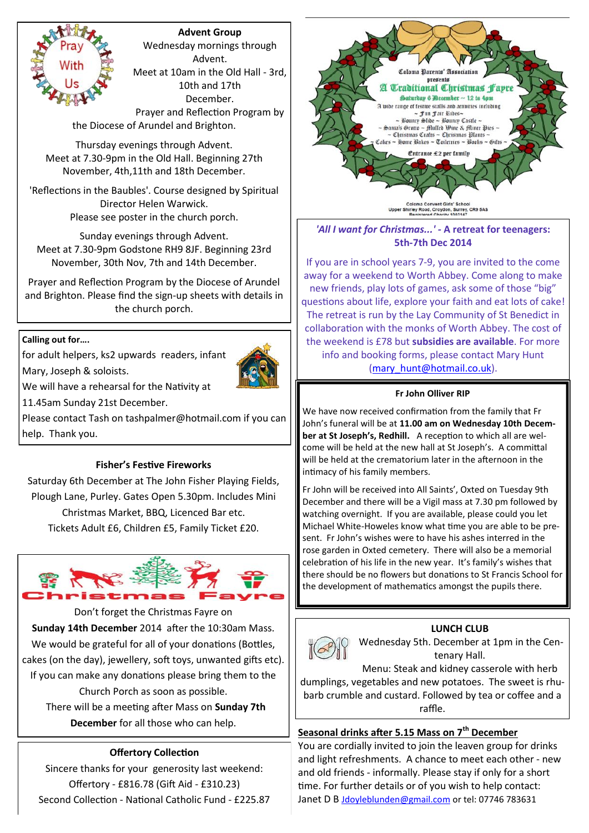## **Advent Group**

Wednesday mornings through Advent. Meet at 10am in the Old Hall - 3rd, 10th and 17th December. Prayer and Reflection Program by

the Diocese of Arundel and Brighton.

Thursday evenings through Advent. Meet at 7.30-9pm in the Old Hall. Beginning 27th November, 4th,11th and 18th December.

'Reflections in the Baubles'. Course designed by Spiritual Director Helen Warwick. Please see poster in the church porch.

Sunday evenings through Advent. Meet at 7.30-9pm Godstone RH9 8JF. Beginning 23rd November, 30th Nov, 7th and 14th December.

Prayer and Reflection Program by the Diocese of Arundel and Brighton. Please find the sign-up sheets with details in the church porch.

#### **Calling out for….**

Mary, Joseph & soloists.

for adult helpers, ks2 upwards readers, infant



We will have a rehearsal for the Nativity at

11.45am Sunday 21st December.

Please contact Tash on tashpalmer@hotmail.com if you can help. Thank you.

#### **Fisher's Festive Fireworks**

Saturday 6th December at The John Fisher Playing Fields, Plough Lane, Purley. Gates Open 5.30pm. Includes Mini Christmas Market, BBQ, Licenced Bar etc. Tickets Adult £6, Children £5, Family Ticket £20.



Don't forget the Christmas Fayre on **Sunday 14th December** 2014 after the 10:30am Mass. We would be grateful for all of your donations (Bottles, cakes (on the day), jewellery, soft toys, unwanted gifts etc). If you can make any donations please bring them to the Church Porch as soon as possible. There will be a meeting after Mass on **Sunday 7th December** for all those who can help.

# **Offertory Collection**

Sincere thanks for your generosity last weekend: Offertory - £816.78 (Gift Aid - £310.23) Second Collection - National Catholic Fund - £225.87



*'All I want for Christmas...' -* **A retreat for teenagers: 5th-7th Dec 2014**

If you are in school years 7-9, you are invited to the come away for a weekend to Worth Abbey. Come along to make new friends, play lots of games, ask some of those "big" questions about life, explore your faith and eat lots of cake! The retreat is run by the Lay Community of St Benedict in collaboration with the monks of Worth Abbey. The cost of the weekend is £78 but **subsidies are available**. For more info and booking forms, please contact Mary Hunt [\(mary\\_hunt@hotmail.co.uk\)](mailto:katyrussell@hotmail.co.uk).

#### **Fr John Olliver RIP**

We have now received confirmation from the family that Fr John's funeral will be at **11.00 am on Wednesday 10th December at St Joseph's, Redhill.** A reception to which all are welcome will be held at the new hall at St Joseph's. A committal will be held at the crematorium later in the afternoon in the intimacy of his family members.

Fr John will be received into All Saints', Oxted on Tuesday 9th December and there will be a Vigil mass at 7.30 pm followed by watching overnight. If you are available, please could you let Michael White-Howeles know what time you are able to be present. Fr John's wishes were to have his ashes interred in the rose garden in Oxted cemetery. There will also be a memorial celebration of his life in the new year. It's family's wishes that there should be no flowers but donations to St Francis School for the development of mathematics amongst the pupils there.



# **LUNCH CLUB**

Wednesday 5th. December at 1pm in the Centenary Hall.

Menu: Steak and kidney casserole with herb dumplings, vegetables and new potatoes. The sweet is rhubarb crumble and custard. Followed by tea or coffee and a raffle.

#### **Seasonal drinks after 5.15 Mass on 7th December**

You are cordially invited to join the leaven group for drinks and light refreshments. A chance to meet each other - new and old friends - informally. Please stay if only for a short time. For further details or of you wish to help contact: Janet D B [Jdoyleblunden@gmail.com](mailto:Jdoyleblunden@gmail.com) or tel: 07746 783631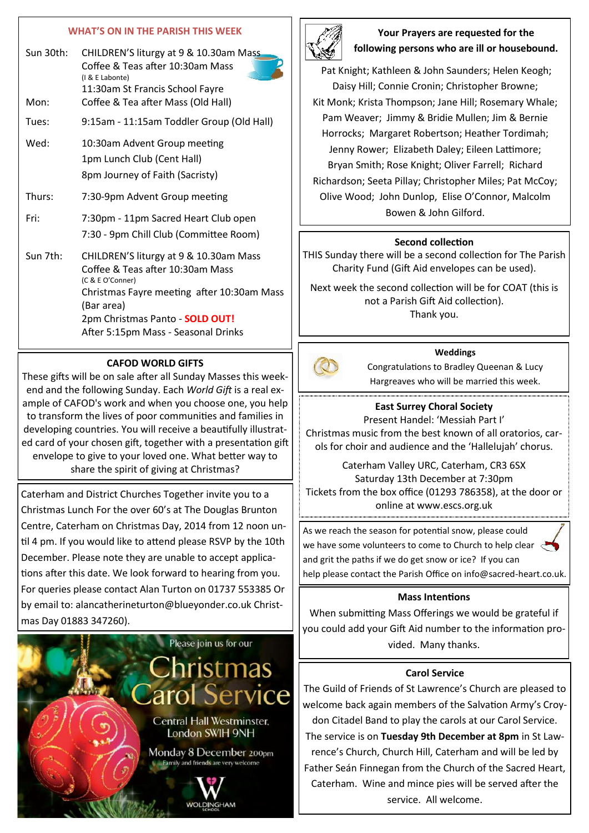#### **WHAT'S ON IN THE PARISH THIS WEEK**

| Sun 30th: | CHILDREN'S liturgy at 9 & 10.30am Mass<br>Coffee & Teas after 10:30am Mass<br>(I & E Labonte)<br>11:30am St Francis School Fayre |
|-----------|----------------------------------------------------------------------------------------------------------------------------------|
| Mon:      | Coffee & Tea after Mass (Old Hall)                                                                                               |
| Tues:     | 9:15am - 11:15am Toddler Group (Old Hall)                                                                                        |
| Wed:      | 10:30am Advent Group meeting                                                                                                     |
|           | 1pm Lunch Club (Cent Hall)                                                                                                       |
|           | 8pm Journey of Faith (Sacristy)                                                                                                  |
| Thurs:    | 7:30-9pm Advent Group meeting                                                                                                    |
| Fri:      | 7:30pm - 11pm Sacred Heart Club open                                                                                             |
|           | 7:30 - 9pm Chill Club (Committee Room)                                                                                           |
| Sun 7th:  | CHILDREN'S liturgy at 9 & 10.30am Mass                                                                                           |
|           | Coffee & Teas after 10:30am Mass<br>(C & E O'Conner)                                                                             |
|           | Christmas Fayre meeting after 10:30am Mass<br>(Bar area)                                                                         |
|           | 2pm Christmas Panto - SOLD OUT!                                                                                                  |
|           | After 5:15pm Mass - Seasonal Drinks                                                                                              |

#### **CAFOD WORLD GIFTS**

These gifts will be on sale after all Sunday Masses this weekend and the following Sunday. Each *World Gift* is a real example of CAFOD's work and when you choose one, you help to transform the lives of poor communities and families in developing countries. You will receive a beautifully illustrated card of your chosen gift, together with a presentation gift envelope to give to your loved one. What better way to share the spirit of giving at Christmas?

Caterham and District Churches Together invite you to a Christmas Lunch For the over 60's at The Douglas Brunton Centre, Caterham on Christmas Day, 2014 from 12 noon until 4 pm. If you would like to attend please RSVP by the 10th December. Please note they are unable to accept applications after this date. We look forward to hearing from you. For queries please contact Alan Turton on 01737 553385 Or by email to: alancatherineturton@blueyonder.co.uk Christmas Day 01883 347260).





# **Your Prayers are requested for the following persons who are ill or housebound.**

Pat Knight; Kathleen & John Saunders; Helen Keogh; Daisy Hill; Connie Cronin; Christopher Browne; Kit Monk; Krista Thompson; Jane Hill; Rosemary Whale; Pam Weaver; Jimmy & Bridie Mullen; Jim & Bernie Horrocks; Margaret Robertson; Heather Tordimah; Jenny Rower; Elizabeth Daley; Eileen Lattimore; Bryan Smith; Rose Knight; Oliver Farrell; Richard Richardson; Seeta Pillay; Christopher Miles; Pat McCoy; Olive Wood; John Dunlop, Elise O'Connor, Malcolm Bowen & John Gilford.

#### **Second collection**

THIS Sunday there will be a second collection for The Parish Charity Fund (Gift Aid envelopes can be used).

Next week the second collection will be for COAT (this is not a Parish Gift Aid collection). Thank you.

#### **Weddings**

Congratulations to Bradley Queenan & Lucy Hargreaves who will be married this week.

# **East Surrey Choral Society**

Present Handel: 'Messiah Part I' Christmas music from the best known of all oratorios, carols for choir and audience and the 'Hallelujah' chorus.

Caterham Valley URC, Caterham, CR3 6SX Saturday 13th December at 7:30pm Tickets from the box office (01293 786358), at the door or online at www.escs.org.uk

As we reach the season for potential snow, please could we have some volunteers to come to Church to help clear and grit the paths if we do get snow or ice? If you can help please contact the Parish Office on info@sacred-heart.co.uk.

#### **Mass Intentions**

When submitting Mass Offerings we would be grateful if you could add your Gift Aid number to the information provided. Many thanks.

#### **Carol Service**

The Guild of Friends of St Lawrence's Church are pleased to welcome back again members of the Salvation Army's Croydon Citadel Band to play the carols at our Carol Service. The service is on **Tuesday 9th December at 8pm** in St Lawrence's Church, Church Hill, Caterham and will be led by Father Seán Finnegan from the Church of the Sacred Heart, Caterham. Wine and mince pies will be served after the service. All welcome.